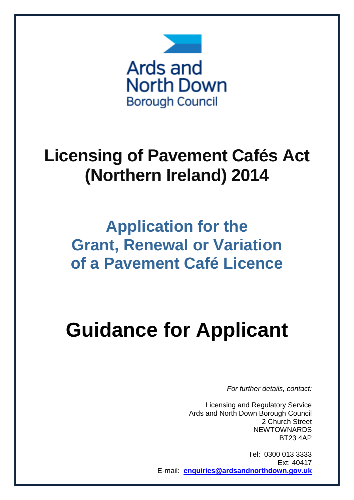

# **Licensing of Pavement Cafés Act (Northern Ireland) 2014**

## **Application for the Grant, Renewal or Variation of a Pavement Café Licence**

# **Guidance for Applicant**

*For further details, contact:*

Licensing and Regulatory Service Ards and North Down Borough Council 2 Church Street **NEWTOWNARDS** BT23 4AP

Tel: 0300 013 3333 Ext: 40417 E-mail: **[enquiries@ardsandnorthdown.gov.uk](mailto:enquiries@ardsandnorthdown.gov.uk)**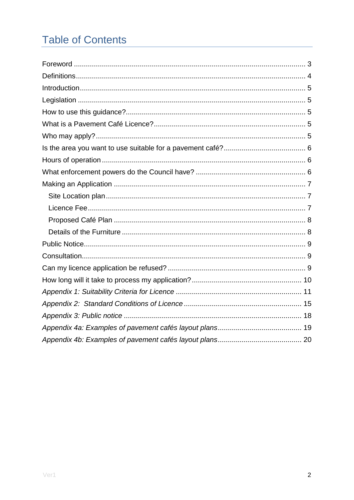### **Table of Contents**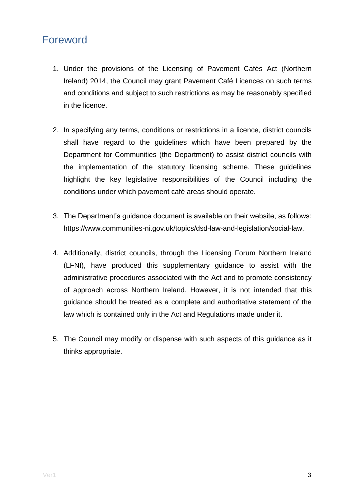- <span id="page-2-0"></span>1. Under the provisions of the Licensing of Pavement Cafés Act (Northern Ireland) 2014, the Council may grant Pavement Café Licences on such terms and conditions and subject to such restrictions as may be reasonably specified in the licence.
- 2. In specifying any terms, conditions or restrictions in a licence, district councils shall have regard to the guidelines which have been prepared by the Department for Communities (the Department) to assist district councils with the implementation of the statutory licensing scheme. These guidelines highlight the key legislative responsibilities of the Council including the conditions under which pavement café areas should operate.
- 3. The Department's guidance document is available on their website, as follows: https://www.communities-ni.gov.uk/topics/dsd-law-and-legislation/social-law.
- 4. Additionally, district councils, through the Licensing Forum Northern Ireland (LFNI), have produced this supplementary guidance to assist with the administrative procedures associated with the Act and to promote consistency of approach across Northern Ireland. However, it is not intended that this guidance should be treated as a complete and authoritative statement of the law which is contained only in the Act and Regulations made under it.
- 5. The Council may modify or dispense with such aspects of this guidance as it thinks appropriate.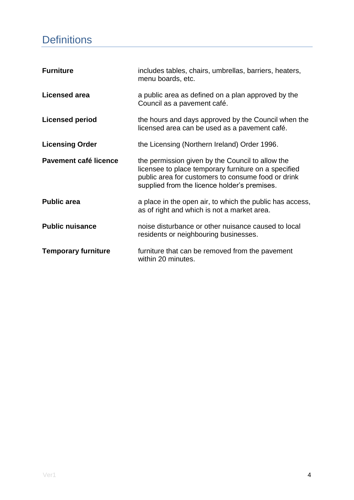### <span id="page-3-0"></span>**Definitions**

| <b>Furniture</b>           | includes tables, chairs, umbrellas, barriers, heaters,<br>menu boards, etc.                                                                                                                                    |
|----------------------------|----------------------------------------------------------------------------------------------------------------------------------------------------------------------------------------------------------------|
| <b>Licensed area</b>       | a public area as defined on a plan approved by the<br>Council as a pavement café.                                                                                                                              |
| <b>Licensed period</b>     | the hours and days approved by the Council when the<br>licensed area can be used as a pavement café.                                                                                                           |
| <b>Licensing Order</b>     | the Licensing (Northern Ireland) Order 1996.                                                                                                                                                                   |
| Pavement café licence      | the permission given by the Council to allow the<br>licensee to place temporary furniture on a specified<br>public area for customers to consume food or drink<br>supplied from the licence holder's premises. |
| <b>Public area</b>         | a place in the open air, to which the public has access,<br>as of right and which is not a market area.                                                                                                        |
| <b>Public nuisance</b>     | noise disturbance or other nuisance caused to local<br>residents or neighbouring businesses.                                                                                                                   |
| <b>Temporary furniture</b> | furniture that can be removed from the pavement<br>within 20 minutes.                                                                                                                                          |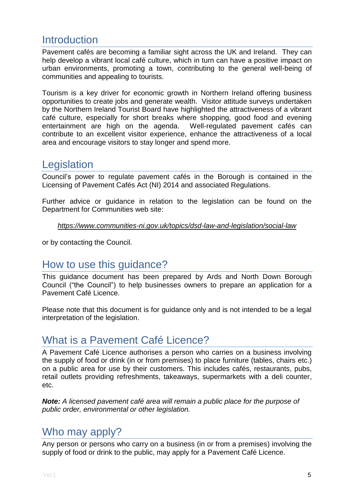### <span id="page-4-0"></span>**Introduction**

Pavement cafés are becoming a familiar sight across the UK and Ireland. They can help develop a vibrant local café culture, which in turn can have a positive impact on urban environments, promoting a town, contributing to the general well-being of communities and appealing to tourists.

Tourism is a key driver for economic growth in Northern Ireland offering business opportunities to create jobs and generate wealth. Visitor attitude surveys undertaken by the Northern Ireland Tourist Board have highlighted the attractiveness of a vibrant café culture, especially for short breaks where shopping, good food and evening entertainment are high on the agenda. Well-regulated pavement cafés can contribute to an excellent visitor experience, enhance the attractiveness of a local area and encourage visitors to stay longer and spend more.

### <span id="page-4-1"></span>**Legislation**

Council's power to regulate pavement cafés in the Borough is contained in the Licensing of Pavement Cafés Act (NI) 2014 and associated Regulations.

Further advice or guidance in relation to the legislation can be found on the Department for Communities web site:

#### *https://www.communities-ni.gov.uk/topics/dsd-law-and-legislation/social-law*

<span id="page-4-2"></span>or by contacting the Council.

### How to use this guidance?

This guidance document has been prepared by Ards and North Down Borough Council ("the Council") to help businesses owners to prepare an application for a Pavement Café Licence.

Please note that this document is for guidance only and is not intended to be a legal interpretation of the legislation.

### <span id="page-4-3"></span>What is a Pavement Café Licence?

A Pavement Café Licence authorises a person who carries on a business involving the supply of food or drink (in or from premises) to place furniture (tables, chairs etc.) on a public area for use by their customers. This includes cafés, restaurants, pubs, retail outlets providing refreshments, takeaways, supermarkets with a deli counter, etc.

*Note: A licensed pavement café area will remain a public place for the purpose of public order, environmental or other legislation.* 

### <span id="page-4-4"></span>Who may apply?

Any person or persons who carry on a business (in or from a premises) involving the supply of food or drink to the public, may apply for a Pavement Café Licence.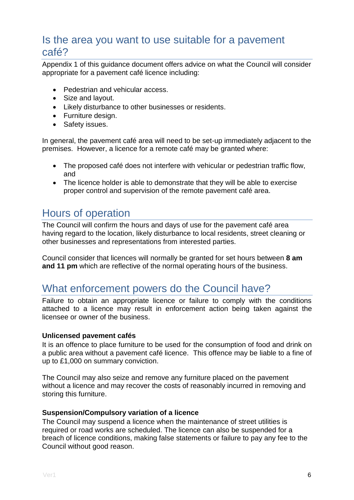### <span id="page-5-0"></span>Is the area you want to use suitable for a pavement café?

Appendix 1 of this guidance document offers advice on what the Council will consider appropriate for a pavement café licence including:

- Pedestrian and vehicular access.
- Size and layout.
- Likely disturbance to other businesses or residents.
- Furniture design.
- Safety issues.

In general, the pavement café area will need to be set-up immediately adjacent to the premises. However, a licence for a remote café may be granted where:

- The proposed café does not interfere with vehicular or pedestrian traffic flow, and
- The licence holder is able to demonstrate that they will be able to exercise proper control and supervision of the remote pavement café area.

### <span id="page-5-1"></span>Hours of operation

The Council will confirm the hours and days of use for the pavement café area having regard to the location, likely disturbance to local residents, street cleaning or other businesses and representations from interested parties.

Council consider that licences will normally be granted for set hours between **8 am and 11 pm** which are reflective of the normal operating hours of the business.

### <span id="page-5-2"></span>What enforcement powers do the Council have?

Failure to obtain an appropriate licence or failure to comply with the conditions attached to a licence may result in enforcement action being taken against the licensee or owner of the business.

#### **Unlicensed pavement cafés**

It is an offence to place furniture to be used for the consumption of food and drink on a public area without a pavement café licence. This offence may be liable to a fine of up to £1,000 on summary conviction.

The Council may also seize and remove any furniture placed on the pavement without a licence and may recover the costs of reasonably incurred in removing and storing this furniture.

#### **Suspension/Compulsory variation of a licence**

The Council may suspend a licence when the maintenance of street utilities is required or road works are scheduled. The licence can also be suspended for a breach of licence conditions, making false statements or failure to pay any fee to the Council without good reason.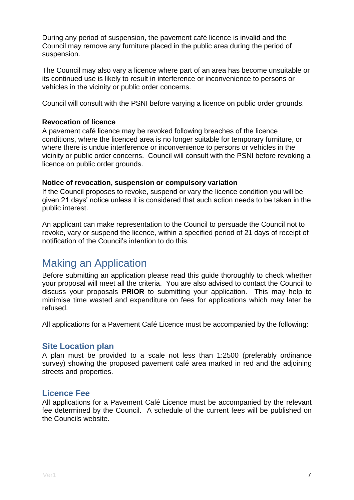During any period of suspension, the pavement café licence is invalid and the Council may remove any furniture placed in the public area during the period of suspension.

The Council may also vary a licence where part of an area has become unsuitable or its continued use is likely to result in interference or inconvenience to persons or vehicles in the vicinity or public order concerns.

Council will consult with the PSNI before varying a licence on public order grounds.

#### **Revocation of licence**

A pavement café licence may be revoked following breaches of the licence conditions, where the licenced area is no longer suitable for temporary furniture, or where there is undue interference or inconvenience to persons or vehicles in the vicinity or public order concerns. Council will consult with the PSNI before revoking a licence on public order grounds.

#### **Notice of revocation, suspension or compulsory variation**

If the Council proposes to revoke, suspend or vary the licence condition you will be given 21 days' notice unless it is considered that such action needs to be taken in the public interest.

An applicant can make representation to the Council to persuade the Council not to revoke, vary or suspend the licence, within a specified period of 21 days of receipt of notification of the Council's intention to do this.

### <span id="page-6-0"></span>Making an Application

Before submitting an application please read this guide thoroughly to check whether your proposal will meet all the criteria. You are also advised to contact the Council to discuss your proposals **PRIOR** to submitting your application. This may help to minimise time wasted and expenditure on fees for applications which may later be refused.

All applications for a Pavement Café Licence must be accompanied by the following:

#### <span id="page-6-1"></span>**Site Location plan**

A plan must be provided to a scale not less than 1:2500 (preferably ordinance survey) showing the proposed pavement café area marked in red and the adjoining streets and properties.

#### <span id="page-6-2"></span>**Licence Fee**

All applications for a Pavement Café Licence must be accompanied by the relevant fee determined by the Council. A schedule of the current fees will be published on the Councils website.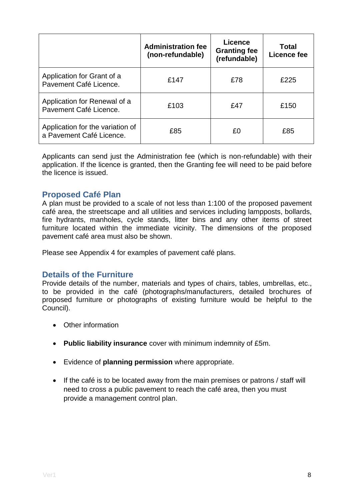|                                                              | <b>Administration fee</b><br>(non-refundable) | <b>Licence</b><br><b>Granting fee</b><br>(refundable) | Total<br>Licence fee |
|--------------------------------------------------------------|-----------------------------------------------|-------------------------------------------------------|----------------------|
| Application for Grant of a<br>Pavement Café Licence.         | £147                                          | £78                                                   | £225                 |
| Application for Renewal of a<br>Pavement Café Licence.       | £103                                          | £47                                                   | £150                 |
| Application for the variation of<br>a Pavement Café Licence. | £85                                           | £0                                                    | £85                  |

Applicants can send just the Administration fee (which is non-refundable) with their application. If the licence is granted, then the Granting fee will need to be paid before the licence is issued.

#### <span id="page-7-0"></span>**Proposed Café Plan**

A plan must be provided to a scale of not less than 1:100 of the proposed pavement café area, the streetscape and all utilities and services including lampposts, bollards, fire hydrants, manholes, cycle stands, litter bins and any other items of street furniture located within the immediate vicinity. The dimensions of the proposed pavement café area must also be shown.

Please see Appendix 4 for examples of pavement café plans.

#### <span id="page-7-1"></span>**Details of the Furniture**

Provide details of the number, materials and types of chairs, tables, umbrellas, etc., to be provided in the café (photographs/manufacturers, detailed brochures of proposed furniture or photographs of existing furniture would be helpful to the Council).

- Other information
- **Public liability insurance** cover with minimum indemnity of £5m.
- Evidence of **planning permission** where appropriate.
- If the café is to be located away from the main premises or patrons / staff will need to cross a public pavement to reach the café area, then you must provide a management control plan.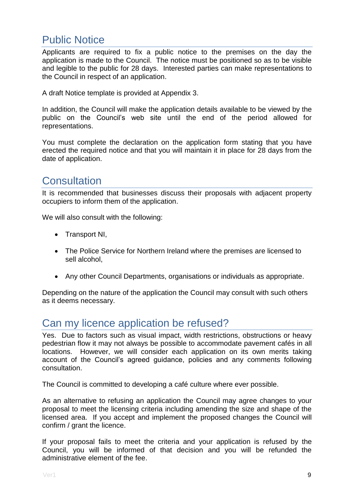### <span id="page-8-0"></span>Public Notice

Applicants are required to fix a public notice to the premises on the day the application is made to the Council. The notice must be positioned so as to be visible and legible to the public for 28 days. Interested parties can make representations to the Council in respect of an application.

A draft Notice template is provided at Appendix 3.

In addition, the Council will make the application details available to be viewed by the public on the Council's web site until the end of the period allowed for representations.

You must complete the declaration on the application form stating that you have erected the required notice and that you will maintain it in place for 28 days from the date of application.

### <span id="page-8-1"></span>**Consultation**

It is recommended that businesses discuss their proposals with adjacent property occupiers to inform them of the application.

We will also consult with the following:

- Transport NI,
- The Police Service for Northern Ireland where the premises are licensed to sell alcohol,
- Any other Council Departments, organisations or individuals as appropriate.

Depending on the nature of the application the Council may consult with such others as it deems necessary.

### <span id="page-8-2"></span>Can my licence application be refused?

Yes. Due to factors such as visual impact, width restrictions, obstructions or heavy pedestrian flow it may not always be possible to accommodate pavement cafés in all locations. However, we will consider each application on its own merits taking account of the Council's agreed guidance, policies and any comments following consultation.

The Council is committed to developing a café culture where ever possible.

As an alternative to refusing an application the Council may agree changes to your proposal to meet the licensing criteria including amending the size and shape of the licensed area. If you accept and implement the proposed changes the Council will confirm / grant the licence.

If your proposal fails to meet the criteria and your application is refused by the Council, you will be informed of that decision and you will be refunded the administrative element of the fee.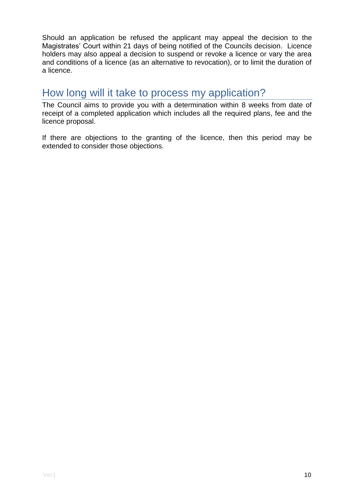Should an application be refused the applicant may appeal the decision to the Magistrates' Court within 21 days of being notified of the Councils decision. Licence holders may also appeal a decision to suspend or revoke a licence or vary the area and conditions of a licence (as an alternative to revocation), or to limit the duration of a licence.

### <span id="page-9-0"></span>How long will it take to process my application?

The Council aims to provide you with a determination within 8 weeks from date of receipt of a completed application which includes all the required plans, fee and the licence proposal.

If there are objections to the granting of the licence, then this period may be extended to consider those objections.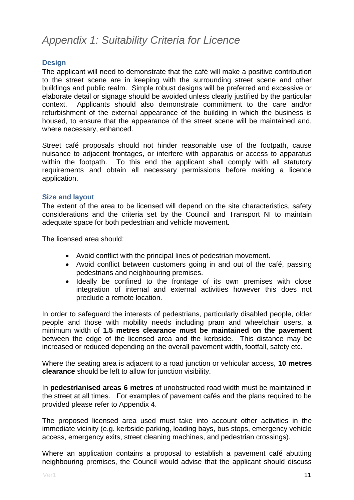#### <span id="page-10-0"></span>**Design**

The applicant will need to demonstrate that the café will make a positive contribution to the street scene are in keeping with the surrounding street scene and other buildings and public realm. Simple robust designs will be preferred and excessive or elaborate detail or signage should be avoided unless clearly justified by the particular context. Applicants should also demonstrate commitment to the care and/or refurbishment of the external appearance of the building in which the business is housed, to ensure that the appearance of the street scene will be maintained and, where necessary, enhanced.

Street café proposals should not hinder reasonable use of the footpath, cause nuisance to adjacent frontages, or interfere with apparatus or access to apparatus within the footpath. To this end the applicant shall comply with all statutory requirements and obtain all necessary permissions before making a licence application.

#### **Size and layout**

The extent of the area to be licensed will depend on the site characteristics, safety considerations and the criteria set by the Council and Transport NI to maintain adequate space for both pedestrian and vehicle movement.

The licensed area should:

- Avoid conflict with the principal lines of pedestrian movement.
- Avoid conflict between customers going in and out of the café, passing pedestrians and neighbouring premises.
- Ideally be confined to the frontage of its own premises with close integration of internal and external activities however this does not preclude a remote location.

In order to safeguard the interests of pedestrians, particularly disabled people, older people and those with mobility needs including pram and wheelchair users, a minimum width of **1.5 metres clearance must be maintained on the pavement** between the edge of the licensed area and the kerbside. This distance may be increased or reduced depending on the overall pavement width, footfall, safety etc.

Where the seating area is adjacent to a road junction or vehicular access, **10 metres clearance** should be left to allow for junction visibility.

In **pedestrianised areas 6 metres** of unobstructed road width must be maintained in the street at all times. For examples of pavement cafés and the plans required to be provided please refer to Appendix 4.

The proposed licensed area used must take into account other activities in the immediate vicinity (e.g. kerbside parking, loading bays, bus stops, emergency vehicle access, emergency exits, street cleaning machines, and pedestrian crossings).

Where an application contains a proposal to establish a pavement café abutting neighbouring premises, the Council would advise that the applicant should discuss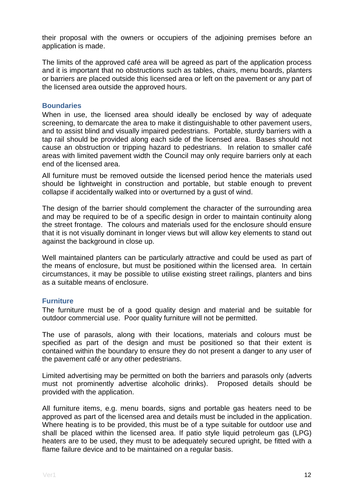their proposal with the owners or occupiers of the adjoining premises before an application is made.

The limits of the approved café area will be agreed as part of the application process and it is important that no obstructions such as tables, chairs, menu boards, planters or barriers are placed outside this licensed area or left on the pavement or any part of the licensed area outside the approved hours.

#### **Boundaries**

When in use, the licensed area should ideally be enclosed by way of adequate screening, to demarcate the area to make it distinguishable to other pavement users, and to assist blind and visually impaired pedestrians. Portable, sturdy barriers with a tap rail should be provided along each side of the licensed area. Bases should not cause an obstruction or tripping hazard to pedestrians. In relation to smaller café areas with limited pavement width the Council may only require barriers only at each end of the licensed area.

All furniture must be removed outside the licensed period hence the materials used should be lightweight in construction and portable, but stable enough to prevent collapse if accidentally walked into or overturned by a gust of wind.

The design of the barrier should complement the character of the surrounding area and may be required to be of a specific design in order to maintain continuity along the street frontage. The colours and materials used for the enclosure should ensure that it is not visually dominant in longer views but will allow key elements to stand out against the background in close up.

Well maintained planters can be particularly attractive and could be used as part of the means of enclosure, but must be positioned within the licensed area. In certain circumstances, it may be possible to utilise existing street railings, planters and bins as a suitable means of enclosure.

#### **Furniture**

The furniture must be of a good quality design and material and be suitable for outdoor commercial use. Poor quality furniture will not be permitted.

The use of parasols, along with their locations, materials and colours must be specified as part of the design and must be positioned so that their extent is contained within the boundary to ensure they do not present a danger to any user of the pavement café or any other pedestrians.

Limited advertising may be permitted on both the barriers and parasols only (adverts must not prominently advertise alcoholic drinks). Proposed details should be provided with the application.

All furniture items, e.g. menu boards, signs and portable gas heaters need to be approved as part of the licensed area and details must be included in the application. Where heating is to be provided, this must be of a type suitable for outdoor use and shall be placed within the licensed area. If patio style liquid petroleum gas (LPG) heaters are to be used, they must to be adequately secured upright, be fitted with a flame failure device and to be maintained on a regular basis.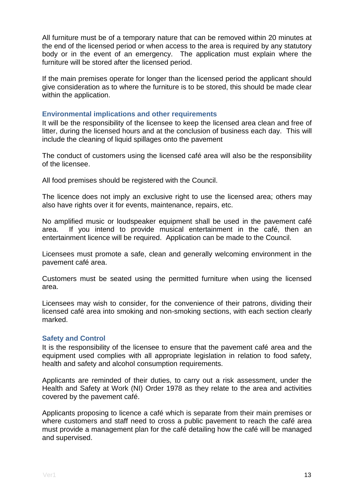All furniture must be of a temporary nature that can be removed within 20 minutes at the end of the licensed period or when access to the area is required by any statutory body or in the event of an emergency. The application must explain where the furniture will be stored after the licensed period.

If the main premises operate for longer than the licensed period the applicant should give consideration as to where the furniture is to be stored, this should be made clear within the application.

#### **Environmental implications and other requirements**

It will be the responsibility of the licensee to keep the licensed area clean and free of litter, during the licensed hours and at the conclusion of business each day. This will include the cleaning of liquid spillages onto the pavement

The conduct of customers using the licensed café area will also be the responsibility of the licensee.

All food premises should be registered with the Council.

The licence does not imply an exclusive right to use the licensed area; others may also have rights over it for events, maintenance, repairs, etc.

No amplified music or loudspeaker equipment shall be used in the pavement café area. If you intend to provide musical entertainment in the café, then an entertainment licence will be required. Application can be made to the Council.

Licensees must promote a safe, clean and generally welcoming environment in the pavement café area.

Customers must be seated using the permitted furniture when using the licensed area.

Licensees may wish to consider, for the convenience of their patrons, dividing their licensed café area into smoking and non-smoking sections, with each section clearly marked.

#### **Safety and Control**

It is the responsibility of the licensee to ensure that the pavement café area and the equipment used complies with all appropriate legislation in relation to food safety, health and safety and alcohol consumption requirements.

Applicants are reminded of their duties, to carry out a risk assessment, under the Health and Safety at Work (NI) Order 1978 as they relate to the area and activities covered by the pavement café.

Applicants proposing to licence a café which is separate from their main premises or where customers and staff need to cross a public pavement to reach the café area must provide a management plan for the café detailing how the café will be managed and supervised.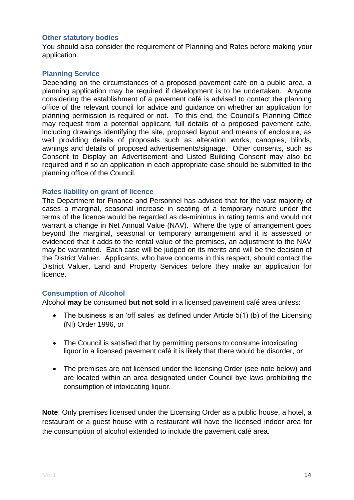#### **Other statutory bodies**

You should also consider the requirement of Planning and Rates before making your application.

#### **Planning Service**

Depending on the circumstances of a proposed pavement café on a public area, a planning application may be required if development is to be undertaken. Anyone considering the establishment of a pavement café is advised to contact the planning office of the relevant council for advice and guidance on whether an application for planning permission is required or not. To this end, the Council's Planning Office may request from a potential applicant, full details of a proposed pavement café, including drawings identifying the site, proposed layout and means of enclosure, as well providing details of proposals such as alteration works, canopies, blinds, awnings and details of proposed advertisements/signage. Other consents, such as Consent to Display an Advertisement and Listed Building Consent may also be required and if so an application in each appropriate case should be submitted to the planning office of the Council.

#### **Rates liability on grant of licence**

The Department for Finance and Personnel has advised that for the vast majority of cases a marginal, seasonal increase in seating of a temporary nature under the terms of the licence would be regarded as de-minimus in rating terms and would not warrant a change in Net Annual Value (NAV). Where the type of arrangement goes beyond the marginal, seasonal or temporary arrangement and it is assessed or evidenced that it adds to the rental value of the premises, an adjustment to the NAV may be warranted. Each case will be judged on its merits and will be the decision of the District Valuer. Applicants, who have concerns in this respect, should contact the District Valuer, Land and Property Services before they make an application for licence.

#### **Consumption of Alcohol**

Alcohol **may** be consumed **but not sold** in a licensed pavement café area unless:

- The business is an 'off sales' as defined under Article 5(1) (b) of the Licensing (NI) Order 1996, or
- The Council is satisfied that by permitting persons to consume intoxicating liquor in a licensed pavement café it is likely that there would be disorder, or
- The premises are not licensed under the licensing Order (see note below) and are located within an area designated under Council bye laws prohibiting the consumption of intoxicating liquor.

**Note**: Only premises licensed under the Licensing Order as a public house, a hotel, a restaurant or a guest house with a restaurant will have the licensed indoor area for the consumption of alcohol extended to include the pavement café area.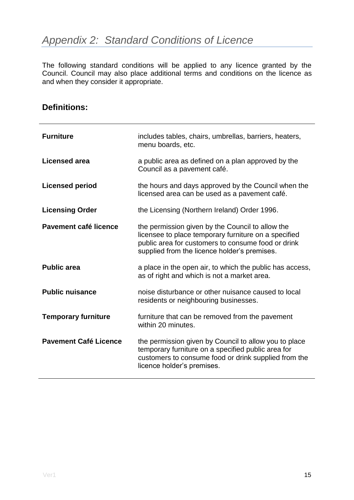<span id="page-14-0"></span>The following standard conditions will be applied to any licence granted by the Council. Council may also place additional terms and conditions on the licence as and when they consider it appropriate.

### **Definitions:**

| <b>Furniture</b>             | includes tables, chairs, umbrellas, barriers, heaters,<br>menu boards, etc.                                                                                                                                    |
|------------------------------|----------------------------------------------------------------------------------------------------------------------------------------------------------------------------------------------------------------|
| <b>Licensed area</b>         | a public area as defined on a plan approved by the<br>Council as a pavement café.                                                                                                                              |
| <b>Licensed period</b>       | the hours and days approved by the Council when the<br>licensed area can be used as a pavement café.                                                                                                           |
| <b>Licensing Order</b>       | the Licensing (Northern Ireland) Order 1996.                                                                                                                                                                   |
| Pavement café licence        | the permission given by the Council to allow the<br>licensee to place temporary furniture on a specified<br>public area for customers to consume food or drink<br>supplied from the licence holder's premises. |
| <b>Public area</b>           | a place in the open air, to which the public has access,<br>as of right and which is not a market area.                                                                                                        |
| <b>Public nuisance</b>       | noise disturbance or other nuisance caused to local<br>residents or neighbouring businesses.                                                                                                                   |
| <b>Temporary furniture</b>   | furniture that can be removed from the pavement<br>within 20 minutes.                                                                                                                                          |
| <b>Pavement Café Licence</b> | the permission given by Council to allow you to place<br>temporary furniture on a specified public area for<br>customers to consume food or drink supplied from the<br>licence holder's premises.              |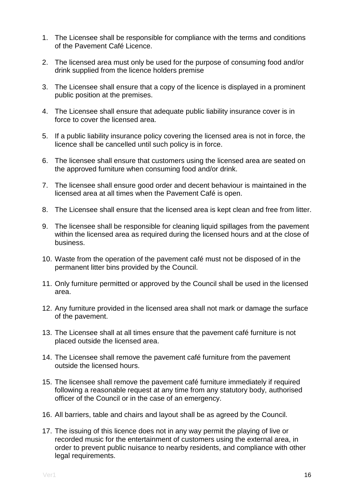- 1. The Licensee shall be responsible for compliance with the terms and conditions of the Pavement Café Licence.
- 2. The licensed area must only be used for the purpose of consuming food and/or drink supplied from the licence holders premise
- 3. The Licensee shall ensure that a copy of the licence is displayed in a prominent public position at the premises.
- 4. The Licensee shall ensure that adequate public liability insurance cover is in force to cover the licensed area.
- 5. If a public liability insurance policy covering the licensed area is not in force, the licence shall be cancelled until such policy is in force.
- 6. The licensee shall ensure that customers using the licensed area are seated on the approved furniture when consuming food and/or drink.
- 7. The licensee shall ensure good order and decent behaviour is maintained in the licensed area at all times when the Pavement Café is open.
- 8. The Licensee shall ensure that the licensed area is kept clean and free from litter.
- 9. The licensee shall be responsible for cleaning liquid spillages from the pavement within the licensed area as required during the licensed hours and at the close of business.
- 10. Waste from the operation of the pavement café must not be disposed of in the permanent litter bins provided by the Council.
- 11. Only furniture permitted or approved by the Council shall be used in the licensed area.
- 12. Any furniture provided in the licensed area shall not mark or damage the surface of the pavement.
- 13. The Licensee shall at all times ensure that the pavement café furniture is not placed outside the licensed area.
- 14. The Licensee shall remove the pavement café furniture from the pavement outside the licensed hours.
- 15. The licensee shall remove the pavement café furniture immediately if required following a reasonable request at any time from any statutory body, authorised officer of the Council or in the case of an emergency.
- 16. All barriers, table and chairs and layout shall be as agreed by the Council.
- 17. The issuing of this licence does not in any way permit the playing of live or recorded music for the entertainment of customers using the external area, in order to prevent public nuisance to nearby residents, and compliance with other legal requirements.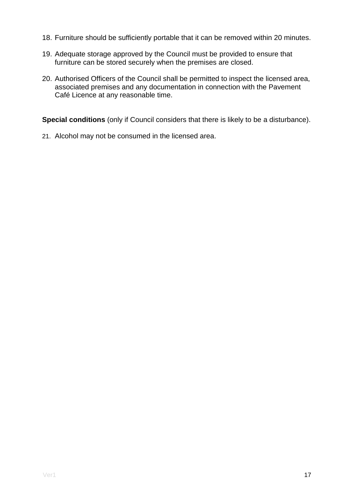- 18. Furniture should be sufficiently portable that it can be removed within 20 minutes.
- 19. Adequate storage approved by the Council must be provided to ensure that furniture can be stored securely when the premises are closed.
- 20. Authorised Officers of the Council shall be permitted to inspect the licensed area, associated premises and any documentation in connection with the Pavement Café Licence at any reasonable time.

**Special conditions** (only if Council considers that there is likely to be a disturbance).

21. Alcohol may not be consumed in the licensed area.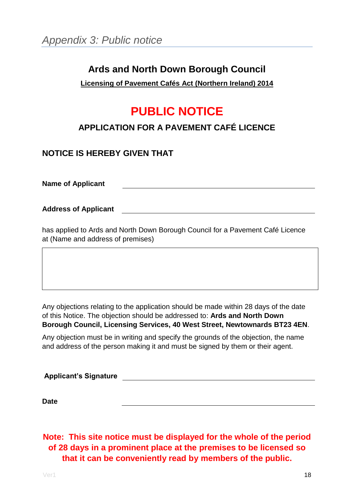### <span id="page-17-0"></span>**Ards and North Down Borough Council**

#### **Licensing of Pavement Cafés Act (Northern Ireland) 2014**

### **PUBLIC NOTICE**

### **APPLICATION FOR A PAVEMENT CAFÉ LICENCE**

### **NOTICE IS HEREBY GIVEN THAT**

**Name of Applicant**

**Address of Applicant**

has applied to Ards and North Down Borough Council for a Pavement Café Licence at (Name and address of premises)

Any objections relating to the application should be made within 28 days of the date of this Notice. The objection should be addressed to: **Ards and North Down Borough Council, Licensing Services, 40 West Street, Newtownards BT23 4EN**.

Any objection must be in writing and specify the grounds of the objection, the name and address of the person making it and must be signed by them or their agent.

| <b>Applicant's Signature</b> |  |
|------------------------------|--|
|                              |  |

**Date**

**Note: This site notice must be displayed for the whole of the period of 28 days in a prominent place at the premises to be licensed so that it can be conveniently read by members of the public.**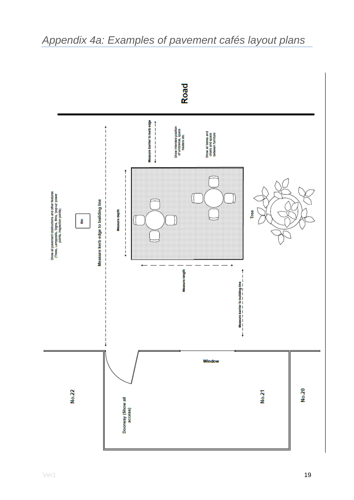

### <span id="page-18-0"></span>*Appendix 4a: Examples of pavement cafés layout plans*